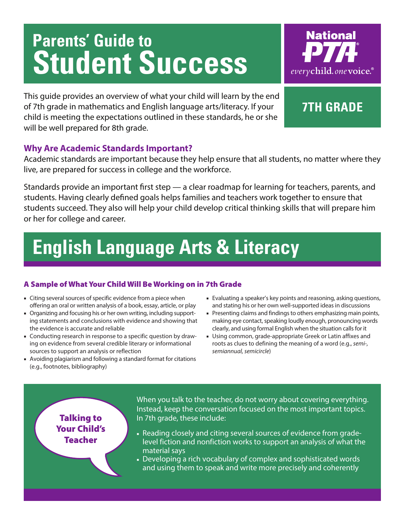# **Parents' Guide to Student Success**



This guide provides an overview of what your child will learn by the end of 7th grade in mathematics and English language arts/literacy. If your child is meeting the expectations outlined in these standards, he or she will be well prepared for 8th grade.

### **7th grade**

### **Why Are Academic Standards Important?**

Academic standards are important because they help ensure that all students, no matter where they live, are prepared for success in college and the workforce.

Standards provide an important first step — a clear roadmap for learning for teachers, parents, and students. Having clearly defined goals helps families and teachers work together to ensure that students succeed. They also will help your child develop critical thinking skills that will prepare him or her for college and career.

### **English Language Arts & Literacy**

#### A Sample of What Your Child Will Be Working on in 7th Grade

- Citing several sources of specific evidence from a piece when offering an oral or written analysis of a book, essay, article, or play
- Organizing and focusing his or her own writing, including supporting statements and conclusions with evidence and showing that the evidence is accurate and reliable
- Conducting research in response to a specific question by drawing on evidence from several credible literary or informational sources to support an analysis or reflection
- Avoiding plagiarism and following a standard format for citations (e.g., footnotes, bibliography)
- Evaluating a speaker's key points and reasoning, asking questions, and stating his or her own well-supported ideas in discussions
- Presenting claims and findings to others emphasizing main points, making eye contact, speaking loudly enough, pronouncing words clearly, and using formal English when the situation calls for it
- Using common, grade-appropriate Greek or Latin affixes and roots as clues to defining the meaning of a word (e.g., *semi-, semiannual, semicircle*)

Talking to Your Child's Teacher

When you talk to the teacher, do not worry about covering everything. Instead, keep the conversation focused on the most important topics. In 7th grade, these include:

- Reading closely and citing several sources of evidence from gradelevel fiction and nonfiction works to support an analysis of what the material says
- Developing a rich vocabulary of complex and sophisticated words and using them to speak and write more precisely and coherently